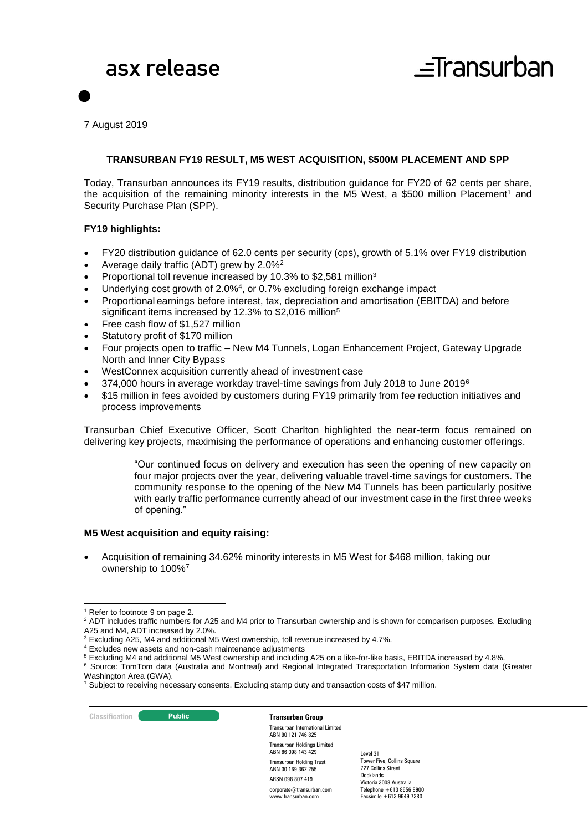7 August 2019

#### **TRANSURBAN FY19 RESULT, M5 WEST ACQUISITION, \$500M PLACEMENT AND SPP**

Today, Transurban announces its FY19 results, distribution guidance for FY20 of 62 cents per share, the acquisition of the remaining minority interests in the M5 West, a \$500 million Placement<sup>1</sup> and Security Purchase Plan (SPP).

#### **FY19 highlights:**

- FY20 distribution guidance of 62.0 cents per security (cps), growth of 5.1% over FY19 distribution
- Average daily traffic (ADT) grew by 2.0%<sup>2</sup>
- Proportional toll revenue increased by 10.3% to \$2,581 million<sup>3</sup>
- Underlying cost growth of 2.0%<sup>4</sup>, or 0.7% excluding foreign exchange impact
- Proportional earnings before interest, tax, depreciation and amortisation (EBITDA) and before significant items increased by 12.3% to \$2,016 million<sup>5</sup>
- Free cash flow of \$1,527 million
- Statutory profit of \$170 million
- Four projects open to traffic New M4 Tunnels, Logan Enhancement Project, Gateway Upgrade North and Inner City Bypass
- WestConnex acquisition currently ahead of investment case
- 374,000 hours in average workday travel-time savings from July 2018 to June 2019<sup>6</sup>
- \$15 million in fees avoided by customers during FY19 primarily from fee reduction initiatives and process improvements

Transurban Chief Executive Officer, Scott Charlton highlighted the near-term focus remained on delivering key projects, maximising the performance of operations and enhancing customer offerings.

> "Our continued focus on delivery and execution has seen the opening of new capacity on four major projects over the year, delivering valuable travel-time savings for customers. The community response to the opening of the New M4 Tunnels has been particularly positive with early traffic performance currently ahead of our investment case in the first three weeks of opening."

#### **M5 West acquisition and equity raising:**

 Acquisition of remaining 34.62% minority interests in M5 West for \$468 million, taking our ownership to 100%<sup>7</sup>

<sup>6</sup> Source: TomTom data (Australia and Montreal) and Regional Integrated Transportation Information System data (Greater

**Classification C Public Public Transurban Group** 

Transurban International Limited ABN 90 121 746 825 Transurban Holdings Limited ABN 86 098 143 429 Transurban Holding Trust ABN 30 169 362 255 ARSN 098 807 419 corporate@transurban.com

www.transurban.com

<sup>-</sup><sup>1</sup> Refer to footnote 9 on page 2.

<sup>&</sup>lt;sup>2</sup> ADT includes traffic numbers for A25 and M4 prior to Transurban ownership and is shown for comparison purposes. Excluding A25 and M4, ADT increased by 2.0%.

<sup>3</sup> Excluding A25, M4 and additional M5 West ownership, toll revenue increased by 4.7%.

<sup>4</sup> Excludes new assets and non-cash maintenance adjustments

<sup>5</sup> Excluding M4 and additional M5 West ownership and including A25 on a like-for-like basis, EBITDA increased by 4.8%.

Washington Area (GWA).

<sup>&</sup>lt;sup>7</sup> Subject to receiving necessary consents. Excluding stamp duty and transaction costs of \$47 million.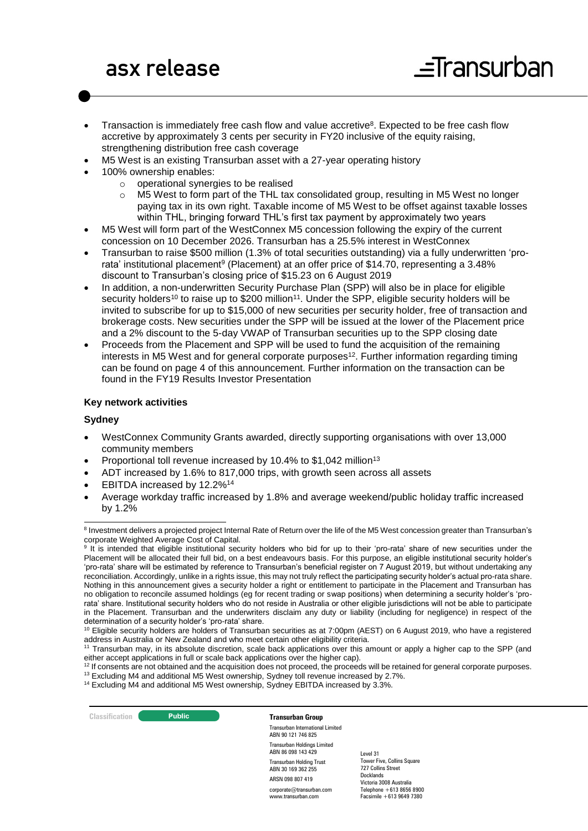- Transaction is immediately free cash flow and value accretive<sup>8</sup>. Expected to be free cash flow accretive by approximately 3 cents per security in FY20 inclusive of the equity raising, strengthening distribution free cash coverage
- M5 West is an existing Transurban asset with a 27-year operating history
- 100% ownership enables:
	- o operational synergies to be realised
	- o M5 West to form part of the THL tax consolidated group, resulting in M5 West no longer paying tax in its own right. Taxable income of M5 West to be offset against taxable losses within THL, bringing forward THL's first tax payment by approximately two years
- M5 West will form part of the WestConnex M5 concession following the expiry of the current concession on 10 December 2026. Transurban has a 25.5% interest in WestConnex
- Transurban to raise \$500 million (1.3% of total securities outstanding) via a fully underwritten 'prorata' institutional placement<sup>9</sup> (Placement) at an offer price of \$14.70, representing a 3.48% discount to Transurban's closing price of \$15.23 on 6 August 2019
- In addition, a non-underwritten Security Purchase Plan (SPP) will also be in place for eligible security holders<sup>10</sup> to raise up to \$200 million<sup>11</sup>. Under the SPP, eligible security holders will be invited to subscribe for up to \$15,000 of new securities per security holder, free of transaction and brokerage costs. New securities under the SPP will be issued at the lower of the Placement price and a 2% discount to the 5-day VWAP of Transurban securities up to the SPP closing date
- Proceeds from the Placement and SPP will be used to fund the acquisition of the remaining interests in M5 West and for general corporate purposes<sup>12</sup>. Further information regarding timing can be found on page 4 of this announcement. Further information on the transaction can be found in the FY19 Results Investor Presentation

#### **Key network activities**

#### **Sydney**

- WestConnex Community Grants awarded, directly supporting organisations with over 13,000 community members
- Proportional toll revenue increased by 10.4% to \$1,042 million<sup>13</sup>
- ADT increased by 1.6% to 817,000 trips, with growth seen across all assets
- EBITDA increased by 12.2%<sup>14</sup>
- Average workday traffic increased by 1.8% and average weekend/public holiday traffic increased by 1.2%

**Classification C Public Public Transurban Group** 

Transurban International Limited ABN 90 121 746 825 Transurban Holdings Limited ABN 86 098 143 429 Transurban Holding Trust ABN 30 169 362 255 ARSN 098 807 419 corporate@transurban.com

www.transurban.com

<sup>-</sup><sup>8</sup> Investment delivers a projected project Internal Rate of Return over the life of the M5 West concession greater than Transurban's corporate Weighted Average Cost of Capital.

<sup>9</sup> It is intended that eligible institutional security holders who bid for up to their 'pro-rata' share of new securities under the Placement will be allocated their full bid, on a best endeavours basis. For this purpose, an eligible institutional security holder's 'pro-rata' share will be estimated by reference to Transurban's beneficial register on 7 August 2019, but without undertaking any reconciliation. Accordingly, unlike in a rights issue, this may not truly reflect the participating security holder's actual pro-rata share. Nothing in this announcement gives a security holder a right or entitlement to participate in the Placement and Transurban has no obligation to reconcile assumed holdings (eg for recent trading or swap positions) when determining a security holder's 'prorata' share. Institutional security holders who do not reside in Australia or other eligible jurisdictions will not be able to participate in the Placement. Transurban and the underwriters disclaim any duty or liability (including for negligence) in respect of the determination of a security holder's 'pro-rata' share.

<sup>&</sup>lt;sup>10</sup> Eligible security holders are holders of Transurban securities as at 7:00pm (AEST) on 6 August 2019, who have a registered address in Australia or New Zealand and who meet certain other eligibility criteria.

<sup>11</sup> Transurban may, in its absolute discretion, scale back applications over this amount or apply a higher cap to the SPP (and either accept applications in full or scale back applications over the higher cap).

<sup>&</sup>lt;sup>12</sup> If consents are not obtained and the acquisition does not proceed, the proceeds will be retained for general corporate purposes. <sup>13</sup> Excluding M4 and additional M5 West ownership, Sydney toll revenue increased by 2.7%.

<sup>&</sup>lt;sup>14</sup> Excluding M4 and additional M5 West ownership, Sydney EBITDA increased by 3.3%.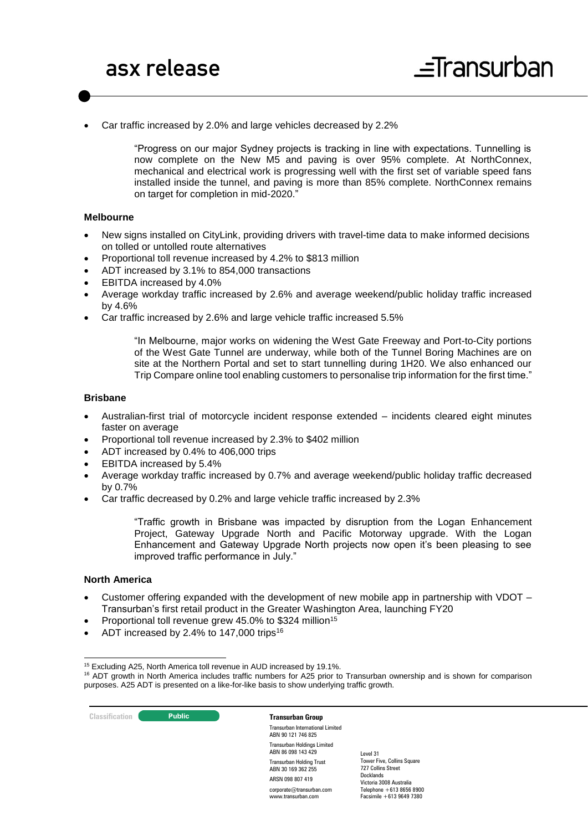Car traffic increased by 2.0% and large vehicles decreased by 2.2%

"Progress on our major Sydney projects is tracking in line with expectations. Tunnelling is now complete on the New M5 and paving is over 95% complete. At NorthConnex, mechanical and electrical work is progressing well with the first set of variable speed fans installed inside the tunnel, and paving is more than 85% complete. NorthConnex remains on target for completion in mid-2020."

#### **Melbourne**

- New signs installed on CityLink, providing drivers with travel-time data to make informed decisions on tolled or untolled route alternatives
- Proportional toll revenue increased by 4.2% to \$813 million
- ADT increased by 3.1% to 854,000 transactions
- EBITDA increased by 4.0%
- Average workday traffic increased by 2.6% and average weekend/public holiday traffic increased by 4.6%
- Car traffic increased by 2.6% and large vehicle traffic increased 5.5%

"In Melbourne, major works on widening the West Gate Freeway and Port-to-City portions of the West Gate Tunnel are underway, while both of the Tunnel Boring Machines are on site at the Northern Portal and set to start tunnelling during 1H20. We also enhanced our Trip Compare online tool enabling customers to personalise trip information for the first time."

#### **Brisbane**

- Australian-first trial of motorcycle incident response extended incidents cleared eight minutes faster on average
- Proportional toll revenue increased by 2.3% to \$402 million
- ADT increased by 0.4% to 406,000 trips
- EBITDA increased by 5.4%
- Average workday traffic increased by 0.7% and average weekend/public holiday traffic decreased by 0.7%
- Car traffic decreased by 0.2% and large vehicle traffic increased by 2.3%

"Traffic growth in Brisbane was impacted by disruption from the Logan Enhancement Project, Gateway Upgrade North and Pacific Motorway upgrade. With the Logan Enhancement and Gateway Upgrade North projects now open it's been pleasing to see improved traffic performance in July."

#### **North America**

1

- Customer offering expanded with the development of new mobile app in partnership with VDOT Transurban's first retail product in the Greater Washington Area, launching FY20
- Proportional toll revenue grew 45.0% to \$324 million<sup>15</sup>
- ADT increased by 2.4% to 147,000 trips<sup>16</sup>

**Classification Constitution Transurban Group** 

Transurban International Limited ABN 90 121 746 825 Transurban Holdings Limited ABN 86 098 143 429 Transurban Holding Trust ABN 30 169 362 255 ARSN 098 807 419 corporate@transurban.com www.transurban.com

<sup>15</sup> Excluding A25, North America toll revenue in AUD increased by 19.1%.

 $16$  ADT growth in North America includes traffic numbers for A25 prior to Transurban ownership and is shown for comparison purposes. A25 ADT is presented on a like-for-like basis to show underlying traffic growth.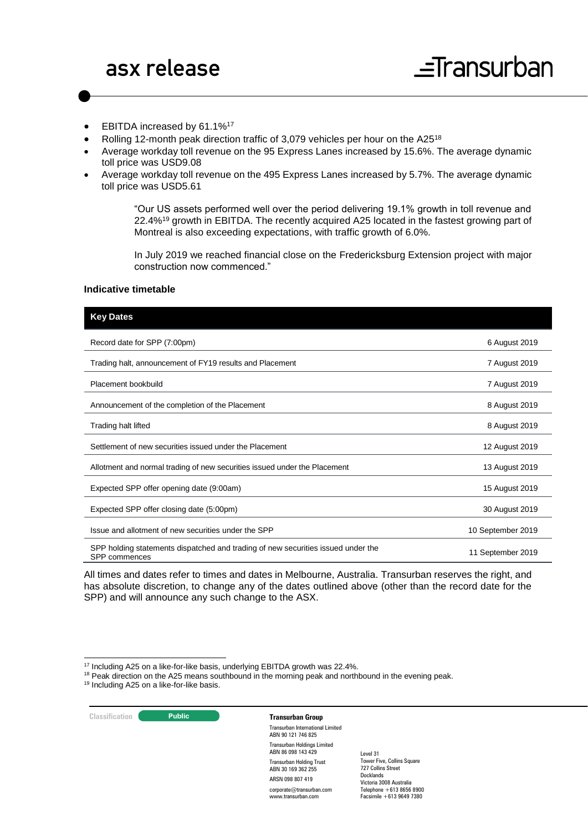- EBITDA increased by 61.1%<sup>17</sup>
- Rolling 12-month peak direction traffic of 3,079 vehicles per hour on the A25<sup>18</sup>
- Average workday toll revenue on the 95 Express Lanes increased by 15.6%. The average dynamic toll price was USD9.08
- Average workday toll revenue on the 495 Express Lanes increased by 5.7%. The average dynamic toll price was USD5.61

"Our US assets performed well over the period delivering 19.1% growth in toll revenue and 22.4%<sup>19</sup> growth in EBITDA. The recently acquired A25 located in the fastest growing part of Montreal is also exceeding expectations, with traffic growth of 6.0%.

In July 2019 we reached financial close on the Fredericksburg Extension project with major construction now commenced."

#### **Indicative timetable**

### **Key Dates** Record date for SPP (7:00pm) 6 August 2019 Trading halt, announcement of FY19 results and Placement 7 August 2019 Placement bookbuild 7 August 2019 Announcement of the completion of the Placement 8 August 2019 **8 August 2019** Trading halt lifted 8 August 2019 Settlement of new securities issued under the Placement 12 August 2019 Allotment and normal trading of new securities issued under the Placement 13 August 2019 Expected SPP offer opening date (9:00am) 15 August 2019 Expected SPP offer closing date (5:00pm) 30 August 2019 Issue and allotment of new securities under the SPP 10 September 2019 SPP holding statements dispatched and trading of new securities issued under the SPP commences 11 September 2019

All times and dates refer to times and dates in Melbourne, Australia. Transurban reserves the right, and has absolute discretion, to change any of the dates outlined above (other than the record date for the SPP) and will announce any such change to the ASX.

<sup>18</sup> Peak direction on the A25 means southbound in the morning peak and northbound in the evening peak.

19 Including A25 on a like-for-like basis.



1

Transurban International Limited ABN 90 121 746 825 Transurban Holdings Limited ABN 86 098 143 429 Transurban Holding Trust ABN 30 169 362 255 ARSN 098 807 419 corporate@transurban.com

www.transurban.com

<sup>&</sup>lt;sup>17</sup> Including A25 on a like-for-like basis, underlying EBITDA growth was 22.4%.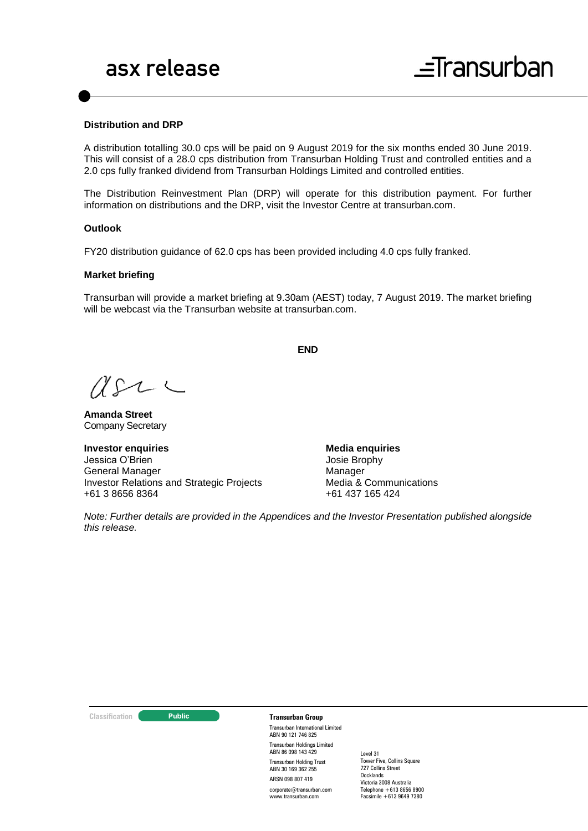#### **Distribution and DRP**

A distribution totalling 30.0 cps will be paid on 9 August 2019 for the six months ended 30 June 2019. This will consist of a 28.0 cps distribution from Transurban Holding Trust and controlled entities and a 2.0 cps fully franked dividend from Transurban Holdings Limited and controlled entities.

The Distribution Reinvestment Plan (DRP) will operate for this distribution payment. For further information on distributions and the DRP, visit the Investor Centre at [transurban.com.](http://www.transurban.com/)

#### **Outlook**

FY20 distribution guidance of 62.0 cps has been provided including 4.0 cps fully franked.

#### **Market briefing**

Transurban will provide a market briefing at 9.30am (AEST) today, 7 August 2019. The market briefing will be webcast via the Transurban website at transurban.com.

**END**

 $U222$ 

**Amanda Street** Company Secretary

**Investor enquiries** Jessica O'Brien General Manager Investor Relations and Strategic Projects +61 3 8656 8364

**Media enquiries** Josie Brophy Manager Media & Communications +61 437 165 424

*Note: Further details are provided in the Appendices and the Investor Presentation published alongside this release.*

#### **Classification Transurban Group**

Transurban International Limited ABN 90 121 746 825 Transurban Holdings Limited ABN 86 098 143 429 Transurban Holding Trust ABN 30 169 362 255 ARSN 098 807 419

corporate@transurban.com www.transurban.com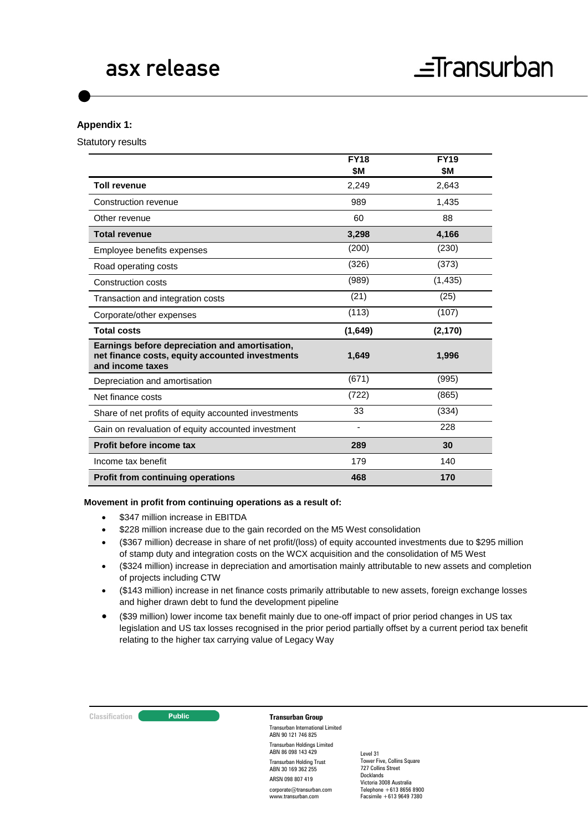#### **Appendix 1:**

Statutory results

|                                                                                                                       | <b>FY18</b> | <b>FY19</b> |
|-----------------------------------------------------------------------------------------------------------------------|-------------|-------------|
|                                                                                                                       | \$M         | \$M         |
| <b>Toll revenue</b>                                                                                                   | 2,249       | 2,643       |
| Construction revenue                                                                                                  | 989         | 1,435       |
| Other revenue                                                                                                         | 60          | 88          |
| <b>Total revenue</b>                                                                                                  | 3,298       | 4,166       |
| Employee benefits expenses                                                                                            | (200)       | (230)       |
| Road operating costs                                                                                                  | (326)       | (373)       |
| Construction costs                                                                                                    | (989)       | (1, 435)    |
| Transaction and integration costs                                                                                     | (21)        | (25)        |
| Corporate/other expenses                                                                                              | (113)       | (107)       |
| <b>Total costs</b>                                                                                                    | (1,649)     | (2, 170)    |
| Earnings before depreciation and amortisation,<br>net finance costs, equity accounted investments<br>and income taxes | 1,649       | 1,996       |
| Depreciation and amortisation                                                                                         | (671)       | (995)       |
| Net finance costs                                                                                                     | (722)       | (865)       |
| Share of net profits of equity accounted investments                                                                  | 33          | (334)       |
| Gain on revaluation of equity accounted investment                                                                    |             | 228         |
| Profit before income tax                                                                                              | 289         | 30          |
| Income tax benefit                                                                                                    | 179         | 140         |
| <b>Profit from continuing operations</b>                                                                              | 468         | 170         |

#### **Movement in profit from continuing operations as a result of:**

- \$347 million increase in EBITDA
- $\bullet$  \$228 million increase due to the gain recorded on the M5 West consolidation
- (\$367 million) decrease in share of net profit/(loss) of equity accounted investments due to \$295 million of stamp duty and integration costs on the WCX acquisition and the consolidation of M5 West
- (\$324 million) increase in depreciation and amortisation mainly attributable to new assets and completion of projects including CTW
- (\$143 million) increase in net finance costs primarily attributable to new assets, foreign exchange losses and higher drawn debt to fund the development pipeline
- (\$39 million) lower income tax benefit mainly due to one-off impact of prior period changes in US tax legislation and US tax losses recognised in the prior period partially offset by a current period tax benefit relating to the higher tax carrying value of Legacy Way

#### **Classification Transurban Group**

Transurban International Limited ABN 90 121 746 825 Transurban Holdings Limited ABN 86 098 143 429 Transurban Holding Trust ABN 30 169 362 255 ARSN 098 807 419

corporate@transurban.com www.transurban.com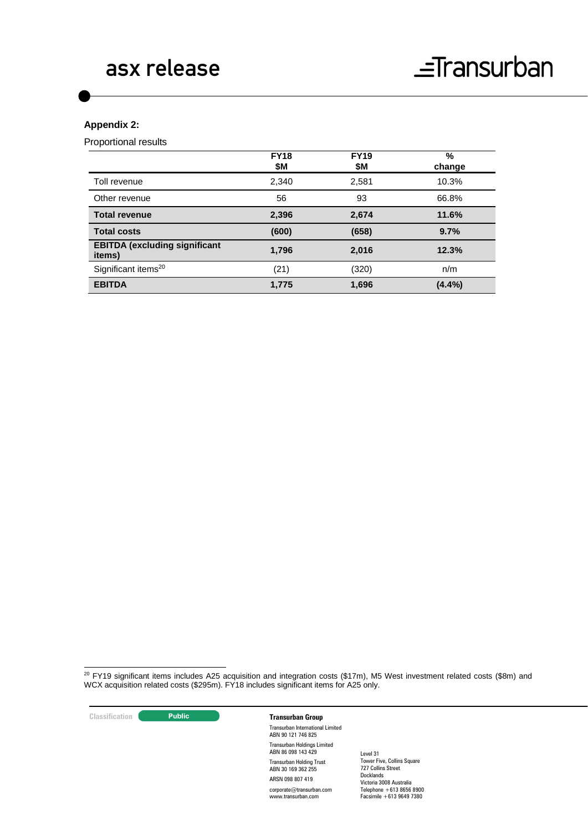#### **Appendix 2:**

Proportional results

|                                                | <b>FY18</b><br>\$Μ | <b>FY19</b><br>\$M | %<br>change |
|------------------------------------------------|--------------------|--------------------|-------------|
| Toll revenue                                   | 2,340              | 2,581              | 10.3%       |
| Other revenue                                  | 56                 | 93                 | 66.8%       |
| <b>Total revenue</b>                           | 2,396              | 2,674              | 11.6%       |
| <b>Total costs</b>                             | (600)              | (658)              | 9.7%        |
| <b>EBITDA (excluding significant</b><br>items) | 1,796              | 2,016              | 12.3%       |
| Significant items <sup>20</sup>                | (21)               | (320)              | n/m         |
| <b>EBITDA</b>                                  | 1,775              | 1,696              | $(4.4\%)$   |

1  $20$  FY19 significant items includes A25 acquisition and integration costs (\$17m), M5 West investment related costs (\$8m) and WCX acquisition related costs (\$295m). FY18 includes significant items for A25 only.

**Classification Transurban Group**

Transurban International Limited ABN 90 121 746 825 Transurban Holdings Limited ABN 86 098 143 429 Transurban Holding Trust ABN 30 169 362 255 ARSN 098 807 419 corporate@transurban.com www.transurban.com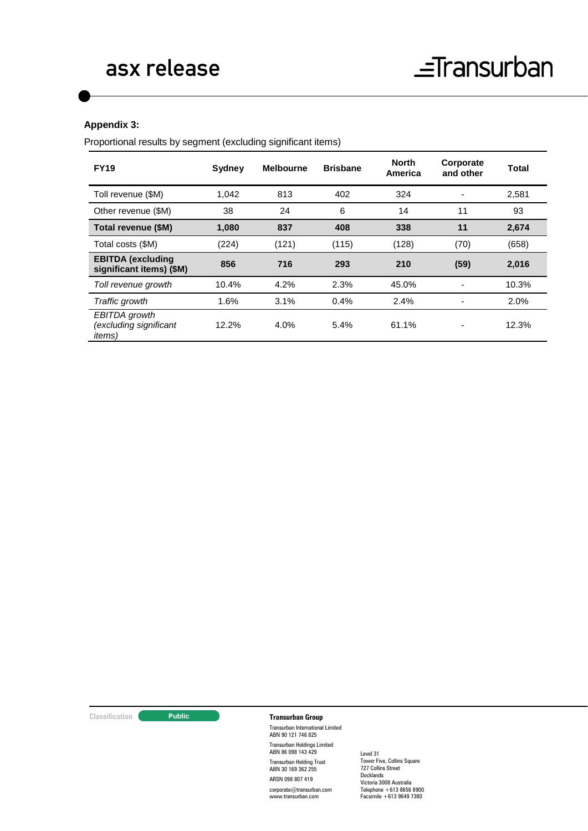#### **Appendix 3:**

Proportional results by segment (excluding significant items)

| <b>FY19</b>                                               | Sydney | <b>Melbourne</b> | <b>Brisbane</b> | <b>North</b><br>America | Corporate<br>and other | Total |
|-----------------------------------------------------------|--------|------------------|-----------------|-------------------------|------------------------|-------|
| Toll revenue (\$M)                                        | 1.042  | 813              | 402             | 324                     |                        | 2,581 |
| Other revenue (\$M)                                       | 38     | 24               | 6               | 14                      | 11                     | 93    |
| Total revenue (\$M)                                       | 1,080  | 837              | 408             | 338                     | 11                     | 2,674 |
| Total costs (\$M)                                         | (224)  | (121)            | (115)           | (128)                   | (70)                   | (658) |
| <b>EBITDA</b> (excluding<br>significant items) (\$M)      | 856    | 716              | 293             | 210                     | (59)                   | 2,016 |
| Toll revenue growth                                       | 10.4%  | 4.2%             | 2.3%            | 45.0%                   |                        | 10.3% |
| Traffic growth                                            | 1.6%   | 3.1%             | 0.4%            | 2.4%                    |                        | 2.0%  |
| EBITDA growth<br>(excluding significant<br><i>items</i> ) | 12.2%  | 4.0%             | 5.4%            | 61.1%                   |                        | 12.3% |

**Classification Transurban Group**

Transurban International Limited ABN 90 121 746 825 Transurban Holdings Limited ABN 86 098 143 429 Transurban Holding Trust ABN 30 169 362 255 ARSN 098 807 419

corporate@transurban.com www.transurban.com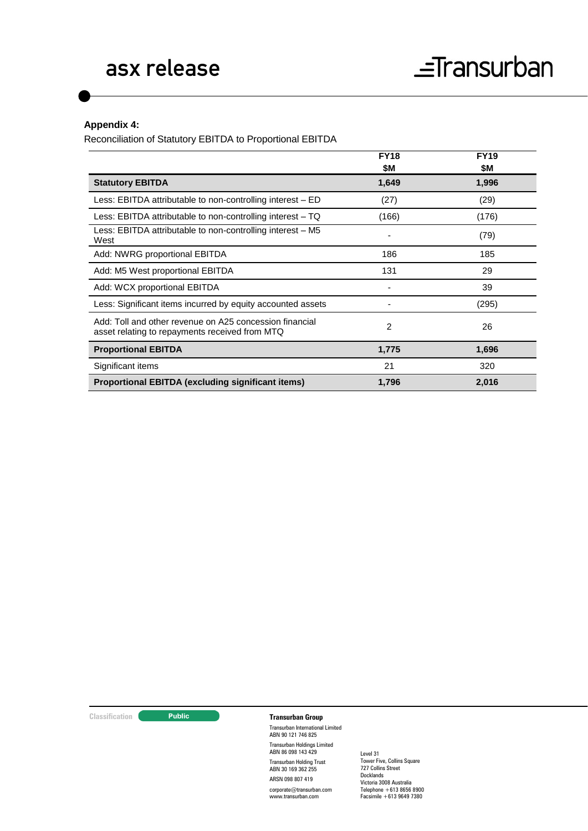### **Appendix 4:**

Reconciliation of Statutory EBITDA to Proportional EBITDA

|                                                                                                           | <b>FY18</b><br>\$Μ | <b>FY19</b><br>\$M |
|-----------------------------------------------------------------------------------------------------------|--------------------|--------------------|
| <b>Statutory EBITDA</b>                                                                                   | 1,649              | 1,996              |
| Less: EBITDA attributable to non-controlling interest – ED                                                | (27)               | (29)               |
| Less: EBITDA attributable to non-controlling interest $-$ TQ                                              | (166)              | (176)              |
| Less: EBITDA attributable to non-controlling interest – M5<br>West                                        |                    | (79)               |
| Add: NWRG proportional EBITDA                                                                             | 186                | 185                |
| Add: M5 West proportional EBITDA                                                                          | 131                | 29                 |
| Add: WCX proportional EBITDA                                                                              |                    | 39                 |
| Less: Significant items incurred by equity accounted assets                                               |                    | (295)              |
| Add: Toll and other revenue on A25 concession financial<br>asset relating to repayments received from MTQ | 2                  | 26                 |
| <b>Proportional EBITDA</b>                                                                                | 1,775              | 1,696              |
| Significant items                                                                                         | 21                 | 320                |
| Proportional EBITDA (excluding significant items)                                                         | 1,796              | 2,016              |

### **Classification Transurban Group**

Transurban International Limited ABN 90 121 746 825 Transurban Holdings Limited ABN 86 098 143 429 Transurban Holding Trust ABN 30 169 362 255 ARSN 098 807 419

corporate@transurban.com www.transurban.com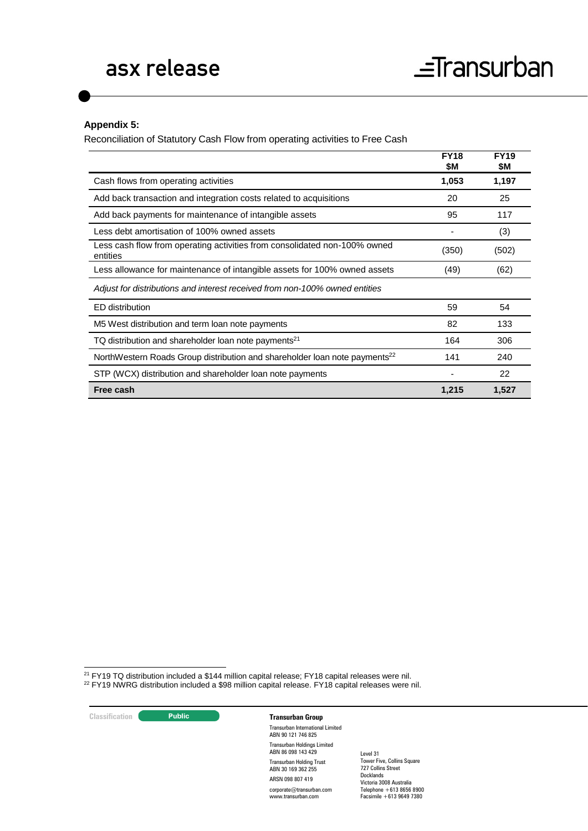### **Appendix 5:**

Reconciliation of Statutory Cash Flow from operating activities to Free Cash

|                                                                                        | <b>FY18</b><br>\$Μ | <b>FY19</b><br>\$Μ |
|----------------------------------------------------------------------------------------|--------------------|--------------------|
| Cash flows from operating activities                                                   | 1,053              | 1,197              |
| Add back transaction and integration costs related to acquisitions                     | 20                 | 25                 |
| Add back payments for maintenance of intangible assets                                 | 95                 | 117                |
| Less debt amortisation of 100% owned assets                                            |                    | (3)                |
| Less cash flow from operating activities from consolidated non-100% owned<br>entities  | (350)              | (502)              |
| Less allowance for maintenance of intangible assets for 100% owned assets              | (49)               | (62)               |
| Adjust for distributions and interest received from non-100% owned entities            |                    |                    |
| ED distribution                                                                        | 59                 | 54                 |
| M5 West distribution and term loan note payments                                       | 82                 | 133                |
| TQ distribution and shareholder loan note payments <sup>21</sup>                       | 164                | 306                |
| NorthWestern Roads Group distribution and shareholder loan note payments <sup>22</sup> | 141                | 240                |
| STP (WCX) distribution and shareholder loan note payments                              |                    | 22                 |
| Free cash                                                                              | 1,215              | 1,527              |

1  $21$  FY19 TQ distribution included a \$144 million capital release; FY18 capital releases were nil.

<sup>22</sup> FY19 NWRG distribution included a \$98 million capital release. FY18 capital releases were nil.

**Classification C Transurban Group** Transurban International Limited ABN 90 121 746 825

Transurban Holdings Limited ABN 86 098 143 429 Transurban Holding Trust ABN 30 169 362 255 ARSN 098 807 419

corporate@transurban.com www.transurban.com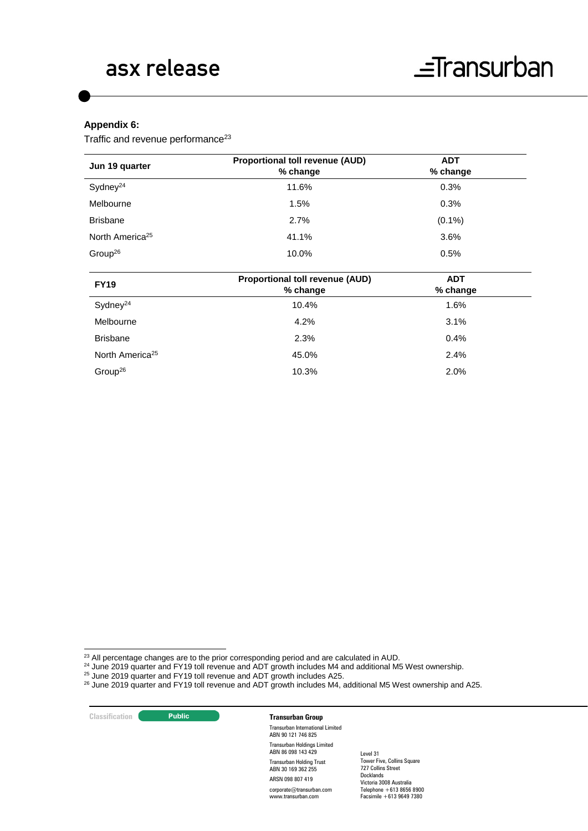#### **Appendix 6:**

Traffic and revenue performance<sup>23</sup>

| Jun 19 quarter              | <b>Proportional toll revenue (AUD)</b><br>% change | <b>ADT</b><br>% change |  |
|-----------------------------|----------------------------------------------------|------------------------|--|
| Sydney <sup>24</sup>        | 11.6%                                              | 0.3%                   |  |
| Melbourne                   | 1.5%                                               | 0.3%                   |  |
| <b>Brisbane</b>             | 2.7%                                               | $(0.1\%)$              |  |
| North America <sup>25</sup> | 41.1%                                              | 3.6%                   |  |
| Group <sup>26</sup>         | 10.0%                                              | 0.5%                   |  |
|                             | $\cdot$ - - - - $\cdot$                            |                        |  |

| <b>FY19</b>                 | <b>Proportional toll revenue (AUD)</b><br>% change | <b>ADT</b><br>% change |  |
|-----------------------------|----------------------------------------------------|------------------------|--|
| Sydney <sup>24</sup>        | 10.4%                                              | 1.6%                   |  |
| Melbourne                   | 4.2%                                               | 3.1%                   |  |
| <b>Brisbane</b>             | 2.3%                                               | 0.4%                   |  |
| North America <sup>25</sup> | 45.0%                                              | 2.4%                   |  |
| Group <sup>26</sup>         | 10.3%                                              | 2.0%                   |  |
|                             |                                                    |                        |  |

- $^{24}$  June 2019 quarter and FY19 toll revenue and ADT growth includes M4 and additional M5 West ownership.
- $25$  June 2019 quarter and FY19 toll revenue and ADT growth includes A25.
- $^{26}$  June 2019 quarter and FY19 toll revenue and ADT growth includes M4, additional M5 West ownership and A25.

**Classification Transurban Group** 

-

Transurban International Limited ABN 90 121 746 825 Transurban Holdings Limited ABN 86 098 143 429 Transurban Holding Trust ABN 30 169 362 255 ARSN 098 807 419 corporate@transurban.com

www.transurban.com

 $^{23}$  All percentage changes are to the prior corresponding period and are calculated in AUD.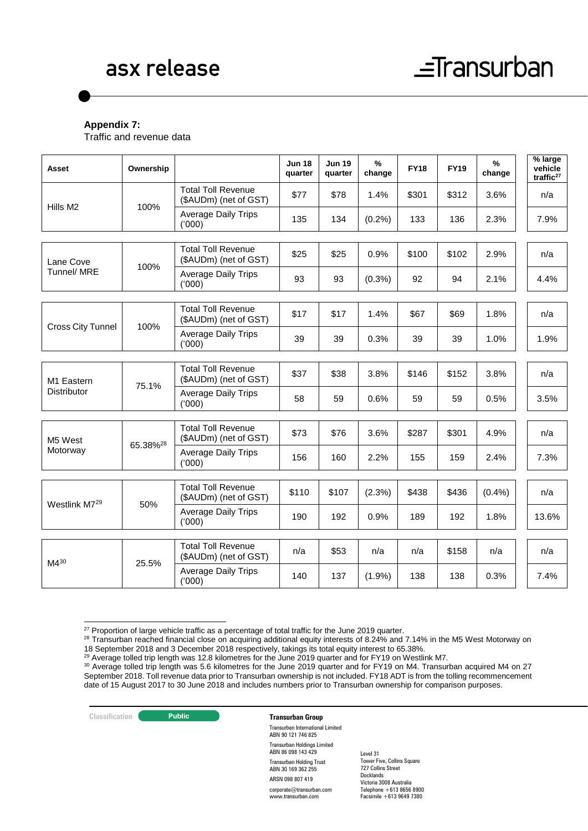### **Appendix 7:**

Traffic and revenue data

| Asset                     | Ownership            |                                                    | <b>Jun 18</b><br>quarter | <b>Jun 19</b><br>quarter | %<br>change | <b>FY18</b> | <b>FY19</b> | %<br>change | $%$ large<br>vehicle<br>traffic <sup>27</sup> |
|---------------------------|----------------------|----------------------------------------------------|--------------------------|--------------------------|-------------|-------------|-------------|-------------|-----------------------------------------------|
| Hills M <sub>2</sub>      | 100%                 | <b>Total Toll Revenue</b><br>(\$AUDm) (net of GST) | \$77                     | \$78                     | 1.4%        | \$301       | \$312       | 3.6%        | n/a                                           |
|                           |                      | <b>Average Daily Trips</b><br>(000)                | 135                      | 134                      | (0.2%)      | 133         | 136         | 2.3%        | 7.9%                                          |
|                           |                      |                                                    |                          |                          |             |             |             |             |                                               |
| Lane Cove                 | 100%                 | <b>Total Toll Revenue</b><br>(\$AUDm) (net of GST) | \$25                     | \$25                     | 0.9%        | \$100       | \$102       | 2.9%        | n/a                                           |
| Tunnel/ MRE               |                      | <b>Average Daily Trips</b><br>(000)                | 93                       | 93                       | $(0.3\%)$   | 92          | 94          | 2.1%        | 4.4%                                          |
|                           |                      |                                                    |                          |                          |             |             |             |             |                                               |
|                           | 100%                 | <b>Total Toll Revenue</b><br>(\$AUDm) (net of GST) | \$17                     | \$17                     | 1.4%        | \$67        | \$69        | 1.8%        | n/a                                           |
| <b>Cross City Tunnel</b>  |                      | <b>Average Daily Trips</b><br>(000)                | 39                       | 39                       | 0.3%        | 39          | 39          | 1.0%        | 1.9%                                          |
|                           |                      |                                                    |                          |                          |             |             |             |             |                                               |
| M1 Eastern                |                      | <b>Total Toll Revenue</b><br>(\$AUDm) (net of GST) | \$37                     | \$38                     | 3.8%        | \$146       | \$152       | 3.8%        | n/a                                           |
| Distributor               | 75.1%                | <b>Average Daily Trips</b><br>(000)                | 58                       | 59                       | 0.6%        | 59          | 59          | 0.5%        | 3.5%                                          |
|                           |                      |                                                    |                          |                          |             |             |             |             |                                               |
| M5 West                   | 65.38% <sup>28</sup> | <b>Total Toll Revenue</b><br>(\$AUDm) (net of GST) | \$73                     | \$76                     | 3.6%        | \$287       | \$301       | 4.9%        | n/a                                           |
| Motorway                  |                      | <b>Average Daily Trips</b><br>(000)                | 156                      | 160                      | 2.2%        | 155         | 159         | 2.4%        | 7.3%                                          |
|                           |                      |                                                    |                          |                          |             |             |             |             |                                               |
|                           |                      | <b>Total Toll Revenue</b><br>(\$AUDm) (net of GST) | \$110                    | \$107                    | (2.3%)      | \$438       | \$436       | (0.4% )     | n/a                                           |
| Westlink M7 <sup>29</sup> | 50%                  | <b>Average Daily Trips</b><br>(000)                | 190                      | 192                      | 0.9%        | 189         | 192         | 1.8%        | 13.6%                                         |
|                           |                      |                                                    |                          |                          |             |             |             |             |                                               |
| $M4^{30}$                 | 25.5%                | <b>Total Toll Revenue</b><br>(\$AUDm) (net of GST) | n/a                      | \$53                     | n/a         | n/a         | \$158       | n/a         | n/a                                           |
|                           |                      | <b>Average Daily Trips</b><br>(000)                | 140                      | 137                      | $(1.9\%)$   | 138         | 138         | 0.3%        | 7.4%                                          |

<sup>-</sup> $27$  Proportion of large vehicle traffic as a percentage of total traffic for the June 2019 quarter.

#### **Classification Transurban Group**

Transurban International Limited ABN 90 121 746 825 Transurban Holdings Limited ABN 86 098 143 429 Transurban Holding Trust ABN 30 169 362 255 ARSN 098 807 419 corporate@transurban.com www.transurban.com

<sup>&</sup>lt;sup>28</sup> Transurban reached financial close on acquiring additional equity interests of 8.24% and 7.14% in the M5 West Motorway on 18 September 2018 and 3 December 2018 respectively, takings its total equity interest to 65.38%.

 $^{29}$  Average tolled trip length was 12.8 kilometres for the June 2019 quarter and for FY19 on Westlink M7.

<sup>&</sup>lt;sup>30</sup> Average tolled trip length was 5.6 kilometres for the June 2019 quarter and for FY19 on M4. Transurban acquired M4 on 27 September 2018. Toll revenue data prior to Transurban ownership is not included. FY18 ADT is from the tolling recommencement date of 15 August 2017 to 30 June 2018 and includes numbers prior to Transurban ownership for comparison purposes.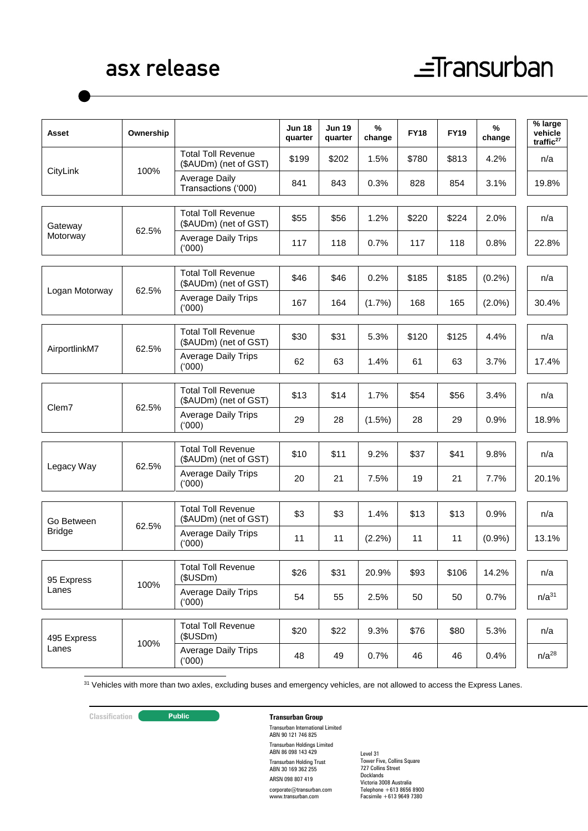# $\equiv$ Transurban

| Asset          | Ownership |                                                    | <b>Jun 18</b><br>quarter | <b>Jun 19</b><br>quarter | %<br>change | <b>FY18</b> | <b>FY19</b> | $\%$<br>change | % large<br>vehicle<br>traffic <sup>27</sup> |
|----------------|-----------|----------------------------------------------------|--------------------------|--------------------------|-------------|-------------|-------------|----------------|---------------------------------------------|
|                |           | <b>Total Toll Revenue</b><br>(\$AUDm) (net of GST) | \$199                    | \$202                    | 1.5%        | \$780       | \$813       | 4.2%           | n/a                                         |
| CityLink       | 100%      | Average Daily<br>Transactions ('000)               | 841                      | 843                      | 0.3%        | 828         | 854         | 3.1%           | 19.8%                                       |
| Gateway        |           | <b>Total Toll Revenue</b><br>(\$AUDm) (net of GST) | \$55                     | \$56                     | 1.2%        | \$220       | \$224       | 2.0%           | n/a                                         |
| Motorway       | 62.5%     | Average Daily Trips<br>(000)                       | 117                      | 118                      | 0.7%        | 117         | 118         | 0.8%           | 22.8%                                       |
|                |           | <b>Total Toll Revenue</b><br>(\$AUDm) (net of GST) | \$46                     | \$46                     | 0.2%        | \$185       | \$185       | (0.2%)         | n/a                                         |
| Logan Motorway | 62.5%     | <b>Average Daily Trips</b><br>(000)                | 167                      | 164                      | (1.7%)      | 168         | 165         | $(2.0\%)$      | 30.4%                                       |
|                |           | <b>Total Toll Revenue</b><br>(\$AUDm) (net of GST) | \$30                     | \$31                     | 5.3%        | \$120       | \$125       | 4.4%           | n/a                                         |
| AirportlinkM7  | 62.5%     | <b>Average Daily Trips</b><br>(000)                | 62                       | 63                       | 1.4%        | 61          | 63          | 3.7%           | 17.4%                                       |
|                |           | <b>Total Toll Revenue</b><br>(\$AUDm) (net of GST) | \$13                     | \$14                     | 1.7%        | \$54        | \$56        | 3.4%           | n/a                                         |
| Clem7          | 62.5%     | <b>Average Daily Trips</b><br>(000)                | 29                       | 28                       | (1.5%)      | 28          | 29          | 0.9%           | 18.9%                                       |
|                |           | <b>Total Toll Revenue</b><br>(\$AUDm) (net of GST) | \$10                     | \$11                     | 9.2%        | \$37        | \$41        | 9.8%           | n/a                                         |
| Legacy Way     | 62.5%     | <b>Average Daily Trips</b><br>(000)                | 20                       | 21                       | 7.5%        | 19          | 21          | 7.7%           | 20.1%                                       |
| Go Between     |           | <b>Total Toll Revenue</b><br>(\$AUDm) (net of GST) | \$3                      | \$3                      | 1.4%        | \$13        | \$13        | 0.9%           | n/a                                         |
| <b>Bridge</b>  | 62.5%     | <b>Average Daily Trips</b><br>(000)                | 11                       | 11                       | (2.2%)      | 11          | 11          | (0.9%          | 13.1%                                       |
| 95 Express     |           | <b>Total Toll Revenue</b><br>(\$USDm)              | \$26                     | \$31                     | 20.9%       | \$93        | \$106       | 14.2%          | n/a                                         |
| Lanes          | 100%      | <b>Average Daily Trips</b><br>(000)                | 54                       | 55                       | 2.5%        | 50          | 50          | 0.7%           | $n/a^{31}$                                  |
| 495 Express    |           | <b>Total Toll Revenue</b><br>(\$USDm)              | \$20                     | \$22                     | 9.3%        | \$76        | \$80        | 5.3%           | n/a                                         |
| Lanes          | 100%      | <b>Average Daily Trips</b><br>(000)                | 48                       | 49                       | 0.7%        | 46          | 46          | 0.4%           | $n/a^{28}$                                  |

 $31$  Vehicles with more than two axles, excluding buses and emergency vehicles, are not allowed to access the Express Lanes.

1

### **Classification C Transurban Group**

Transurban International Limited ABN 90 121 746 825 Transurban Holdings Limited ABN 86 098 143 429 Transurban Holding Trust ABN 30 169 362 255 ARSN 098 807 419 corporate@transurban.com

www.transurban.com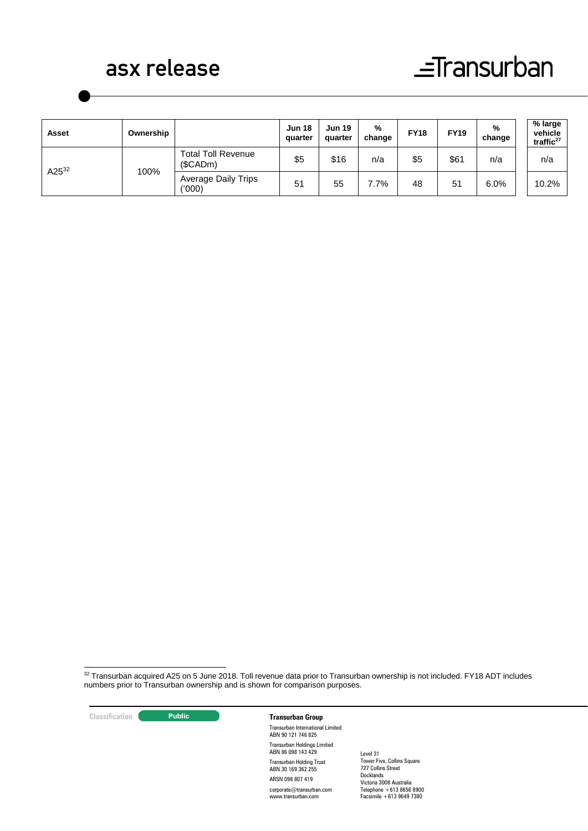## $\equiv$ Transurban

| Asset      | Ownership |                                      | <b>Jun 18</b><br>quarter | <b>Jun 19</b><br>quarter | %<br>change | <b>FY18</b> | <b>FY19</b> | %<br>change | % large<br>vehicle<br>traffic $27$ |
|------------|-----------|--------------------------------------|--------------------------|--------------------------|-------------|-------------|-------------|-------------|------------------------------------|
| $A25^{32}$ | 100%      | <b>Total Toll Revenue</b><br>(SCADm) | \$5                      | \$16                     | n/a         | \$5         | \$61        | n/a         | n/a                                |
|            |           | <b>Average Daily Trips</b><br>(000)  | 51                       | 55                       | 7.7%        | 48          | 51          | 6.0%        | 10.2%                              |

1  $32$  Transurban acquired A25 on 5 June 2018. Toll revenue data prior to Transurban ownership is not included. FY18 ADT includes numbers prior to Transurban ownership and is shown for comparison purposes.

**Classification Transurban Group**

Transurban International Limited ABN 90 121 746 825 Transurban Holdings Limited ABN 86 098 143 429 Transurban Holding Trust ABN 30 169 362 255 ARSN 098 807 419 corporate@transurban.com www.transurban.com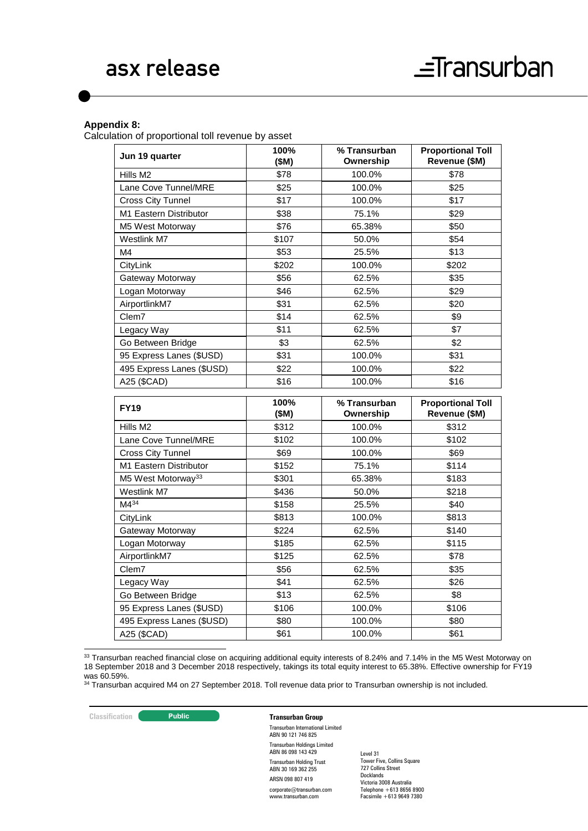#### **Appendix 8:**

Calculation of proportional toll revenue by asset

| Jun 19 quarter                           | 100%<br>(SM) | % Transurban<br>Ownership | <b>Proportional Toll</b><br>Revenue (\$M) |
|------------------------------------------|--------------|---------------------------|-------------------------------------------|
| Hills M2                                 | \$78         | 100.0%                    | \$78                                      |
| Lane Cove Tunnel/MRE                     | \$25         | 100.0%                    | \$25                                      |
| <b>Cross City Tunnel</b>                 | \$17         | 100.0%                    | \$17                                      |
| M1 Eastern Distributor                   | \$38         | 75.1%                     | \$29                                      |
| M5 West Motorway                         | \$76         | 65.38%                    | \$50                                      |
| Westlink M7                              | \$107        | 50.0%                     | \$54                                      |
| M4                                       | \$53         | 25.5%                     | \$13                                      |
| CityLink                                 | \$202        | 100.0%                    | \$202                                     |
| Gateway Motorway                         | \$56         | 62.5%                     | \$35                                      |
| Logan Motorway                           | \$46         | 62.5%                     | \$29                                      |
| AirportlinkM7                            | \$31         | 62.5%                     | \$20                                      |
| Clem7                                    | \$14         | 62.5%                     | \$9                                       |
| Legacy Way                               | \$11         | 62.5%                     | \$7                                       |
| Go Between Bridge                        | \$3          | 62.5%                     | \$2                                       |
| 95 Express Lanes (\$USD)                 | \$31         | 100.0%                    | \$31                                      |
| 495 Express Lanes (\$USD)                | \$22         | 100.0%                    | \$22                                      |
| A25 (\$CAD)                              | \$16         | 100.0%                    | \$16                                      |
|                                          |              |                           |                                           |
|                                          |              |                           |                                           |
| <b>FY19</b>                              | 100%<br>(SM) | % Transurban<br>Ownership | <b>Proportional Toll</b><br>Revenue (\$M) |
| Hills M <sub>2</sub>                     | \$312        | 100.0%                    | \$312                                     |
| Lane Cove Tunnel/MRE                     | \$102        | 100.0%                    | \$102                                     |
| <b>Cross City Tunnel</b>                 | \$69         | 100.0%                    | \$69                                      |
| M1 Eastern Distributor                   | \$152        | 75.1%                     | \$114                                     |
| M5 West Motorway <sup>33</sup>           | \$301        | 65.38%                    | \$183                                     |
| Westlink M7                              | \$436        | 50.0%                     | \$218                                     |
| $M4^{34}$                                | \$158        | 25.5%                     | \$40                                      |
| CityLink                                 | \$813        | 100.0%                    | \$813                                     |
| Gateway Motorway                         | \$224        | 62.5%                     | \$140                                     |
| Logan Motorway                           | \$185        | 62.5%                     | \$115                                     |
| AirportlinkM7                            | \$125        | 62.5%                     | \$78                                      |
| Clem7                                    | \$56         | 62.5%                     | \$35                                      |
| Legacy Way                               | \$41         | 62.5%                     | \$26                                      |
| Go Between Bridge                        | \$13         | 62.5%                     | \$8                                       |
| 95 Express Lanes (\$USD)                 | \$106        | 100.0%                    | \$106                                     |
| 495 Express Lanes (\$USD)<br>A25 (\$CAD) | \$80<br>\$61 | 100.0%                    | \$80<br>\$61                              |

 $33$  Transurban reached financial close on acquiring additional equity interests of 8.24% and 7.14% in the M5 West Motorway on 18 September 2018 and 3 December 2018 respectively, takings its total equity interest to 65.38%. Effective ownership for FY19 was 60.59%.

34 Transurban acquired M4 on 27 September 2018. Toll revenue data prior to Transurban ownership is not included.

-

#### **Classification Transurban Group**

Transurban International Limited ABN 90 121 746 825 Transurban Holdings Limited ABN 86 098 143 429 Transurban Holding Trust ABN 30 169 362 255 ARSN 098 807 419 corporate@transurban.com www.transurban.com